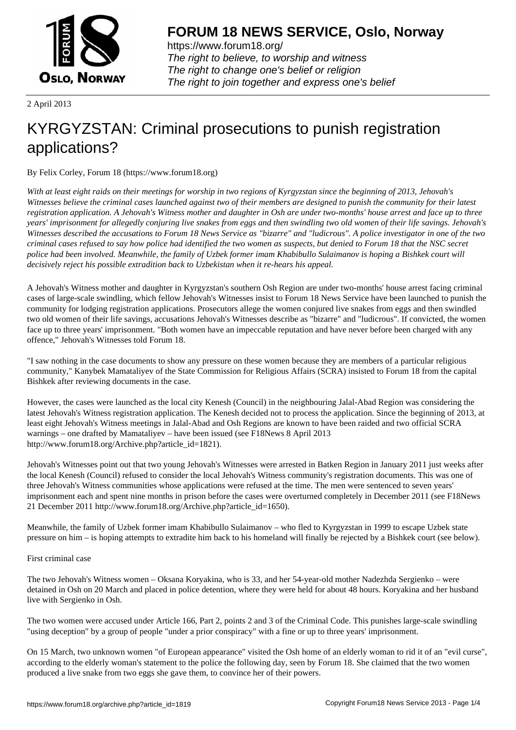

https://www.forum18.org/ The right to believe, to worship and witness The right to change one's belief or religion [The right to join together a](https://www.forum18.org/)nd express one's belief

2 April 2013

## [KYRGYZSTAN](https://www.forum18.org): Criminal prosecutions to punish registration applications?

By Felix Corley, Forum 18 (https://www.forum18.org)

*With at least eight raids on their meetings for worship in two regions of Kyrgyzstan since the beginning of 2013, Jehovah's Witnesses believe the criminal cases launched against two of their members are designed to punish the community for their latest registration application. A Jehovah's Witness mother and daughter in Osh are under two-months' house arrest and face up to three years' imprisonment for allegedly conjuring live snakes from eggs and then swindling two old women of their life savings. Jehovah's Witnesses described the accusations to Forum 18 News Service as "bizarre" and "ludicrous". A police investigator in one of the two criminal cases refused to say how police had identified the two women as suspects, but denied to Forum 18 that the NSC secret police had been involved. Meanwhile, the family of Uzbek former imam Khabibullo Sulaimanov is hoping a Bishkek court will decisively reject his possible extradition back to Uzbekistan when it re-hears his appeal.*

A Jehovah's Witness mother and daughter in Kyrgyzstan's southern Osh Region are under two-months' house arrest facing criminal cases of large-scale swindling, which fellow Jehovah's Witnesses insist to Forum 18 News Service have been launched to punish the community for lodging registration applications. Prosecutors allege the women conjured live snakes from eggs and then swindled two old women of their life savings, accusations Jehovah's Witnesses describe as "bizarre" and "ludicrous". If convicted, the women face up to three years' imprisonment. "Both women have an impeccable reputation and have never before been charged with any offence," Jehovah's Witnesses told Forum 18.

"I saw nothing in the case documents to show any pressure on these women because they are members of a particular religious community," Kanybek Mamataliyev of the State Commission for Religious Affairs (SCRA) insisted to Forum 18 from the capital Bishkek after reviewing documents in the case.

However, the cases were launched as the local city Kenesh (Council) in the neighbouring Jalal-Abad Region was considering the latest Jehovah's Witness registration application. The Kenesh decided not to process the application. Since the beginning of 2013, at least eight Jehovah's Witness meetings in Jalal-Abad and Osh Regions are known to have been raided and two official SCRA warnings – one drafted by Mamataliyev – have been issued (see F18News 8 April 2013 http://www.forum18.org/Archive.php?article\_id=1821).

Jehovah's Witnesses point out that two young Jehovah's Witnesses were arrested in Batken Region in January 2011 just weeks after the local Kenesh (Council) refused to consider the local Jehovah's Witness community's registration documents. This was one of three Jehovah's Witness communities whose applications were refused at the time. The men were sentenced to seven years' imprisonment each and spent nine months in prison before the cases were overturned completely in December 2011 (see F18News 21 December 2011 http://www.forum18.org/Archive.php?article\_id=1650).

Meanwhile, the family of Uzbek former imam Khabibullo Sulaimanov – who fled to Kyrgyzstan in 1999 to escape Uzbek state pressure on him – is hoping attempts to extradite him back to his homeland will finally be rejected by a Bishkek court (see below).

## First criminal case

The two Jehovah's Witness women – Oksana Koryakina, who is 33, and her 54-year-old mother Nadezhda Sergienko – were detained in Osh on 20 March and placed in police detention, where they were held for about 48 hours. Koryakina and her husband live with Sergienko in Osh.

The two women were accused under Article 166, Part 2, points 2 and 3 of the Criminal Code. This punishes large-scale swindling "using deception" by a group of people "under a prior conspiracy" with a fine or up to three years' imprisonment.

On 15 March, two unknown women "of European appearance" visited the Osh home of an elderly woman to rid it of an "evil curse", according to the elderly woman's statement to the police the following day, seen by Forum 18. She claimed that the two women produced a live snake from two eggs she gave them, to convince her of their powers.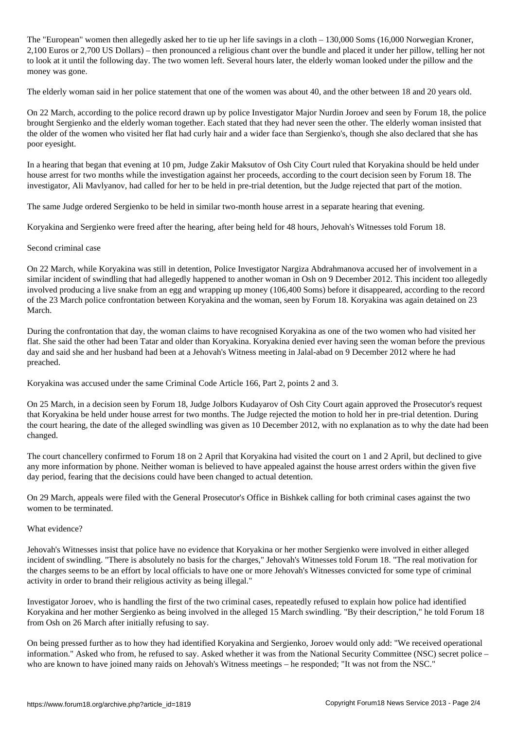The "European" women then allegedly asked her to tie up her life savings in a cloth – 130,000 Soms (16,000 Norwegian Kroner, 2,100 Euros or 2,700 US Dollars) – then pronounced a religious chant over the bundle and placed it under her pillow, telling her not to look at it until the following day. The two women left. Several hours later, the elderly woman looked under the pillow and the money was gone.

The elderly woman said in her police statement that one of the women was about 40, and the other between 18 and 20 years old.

On 22 March, according to the police record drawn up by police Investigator Major Nurdin Joroev and seen by Forum 18, the police brought Sergienko and the elderly woman together. Each stated that they had never seen the other. The elderly woman insisted that the older of the women who visited her flat had curly hair and a wider face than Sergienko's, though she also declared that she has poor eyesight.

In a hearing that began that evening at 10 pm, Judge Zakir Maksutov of Osh City Court ruled that Koryakina should be held under house arrest for two months while the investigation against her proceeds, according to the court decision seen by Forum 18. The investigator, Ali Mavlyanov, had called for her to be held in pre-trial detention, but the Judge rejected that part of the motion.

The same Judge ordered Sergienko to be held in similar two-month house arrest in a separate hearing that evening.

Koryakina and Sergienko were freed after the hearing, after being held for 48 hours, Jehovah's Witnesses told Forum 18.

Second criminal case

On 22 March, while Koryakina was still in detention, Police Investigator Nargiza Abdrahmanova accused her of involvement in a similar incident of swindling that had allegedly happened to another woman in Osh on 9 December 2012. This incident too allegedly involved producing a live snake from an egg and wrapping up money (106,400 Soms) before it disappeared, according to the record of the 23 March police confrontation between Koryakina and the woman, seen by Forum 18. Koryakina was again detained on 23 March.

During the confrontation that day, the woman claims to have recognised Koryakina as one of the two women who had visited her flat. She said the other had been Tatar and older than Koryakina. Koryakina denied ever having seen the woman before the previous day and said she and her husband had been at a Jehovah's Witness meeting in Jalal-abad on 9 December 2012 where he had preached.

Koryakina was accused under the same Criminal Code Article 166, Part 2, points 2 and 3.

On 25 March, in a decision seen by Forum 18, Judge Jolbors Kudayarov of Osh City Court again approved the Prosecutor's request that Koryakina be held under house arrest for two months. The Judge rejected the motion to hold her in pre-trial detention. During the court hearing, the date of the alleged swindling was given as 10 December 2012, with no explanation as to why the date had been changed.

The court chancellery confirmed to Forum 18 on 2 April that Koryakina had visited the court on 1 and 2 April, but declined to give any more information by phone. Neither woman is believed to have appealed against the house arrest orders within the given five day period, fearing that the decisions could have been changed to actual detention.

On 29 March, appeals were filed with the General Prosecutor's Office in Bishkek calling for both criminal cases against the two women to be terminated.

## What evidence?

Jehovah's Witnesses insist that police have no evidence that Koryakina or her mother Sergienko were involved in either alleged incident of swindling. "There is absolutely no basis for the charges," Jehovah's Witnesses told Forum 18. "The real motivation for the charges seems to be an effort by local officials to have one or more Jehovah's Witnesses convicted for some type of criminal activity in order to brand their religious activity as being illegal."

Investigator Joroev, who is handling the first of the two criminal cases, repeatedly refused to explain how police had identified Koryakina and her mother Sergienko as being involved in the alleged 15 March swindling. "By their description," he told Forum 18 from Osh on 26 March after initially refusing to say.

On being pressed further as to how they had identified Koryakina and Sergienko, Joroev would only add: "We received operational information." Asked who from, he refused to say. Asked whether it was from the National Security Committee (NSC) secret police – who are known to have joined many raids on Jehovah's Witness meetings – he responded; "It was not from the NSC."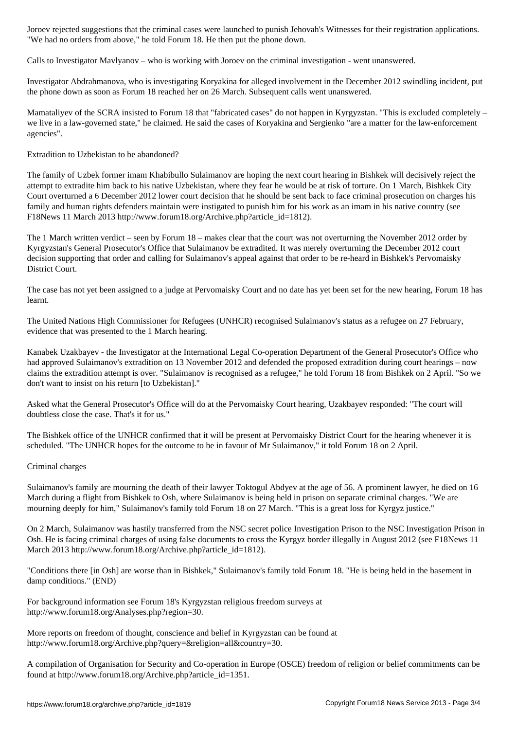Calls to Investigator Mavlyanov – who is working with Joroev on the criminal investigation - went unanswered.

"We had no orders from above," he told Forum 18. He then put the phone down.

Investigator Abdrahmanova, who is investigating Koryakina for alleged involvement in the December 2012 swindling incident, put the phone down as soon as Forum 18 reached her on 26 March. Subsequent calls went unanswered.

Mamataliyev of the SCRA insisted to Forum 18 that "fabricated cases" do not happen in Kyrgyzstan. "This is excluded completely – we live in a law-governed state," he claimed. He said the cases of Koryakina and Sergienko "are a matter for the law-enforcement agencies".

Extradition to Uzbekistan to be abandoned?

The family of Uzbek former imam Khabibullo Sulaimanov are hoping the next court hearing in Bishkek will decisively reject the attempt to extradite him back to his native Uzbekistan, where they fear he would be at risk of torture. On 1 March, Bishkek City Court overturned a 6 December 2012 lower court decision that he should be sent back to face criminal prosecution on charges his family and human rights defenders maintain were instigated to punish him for his work as an imam in his native country (see F18News 11 March 2013 http://www.forum18.org/Archive.php?article\_id=1812).

The 1 March written verdict – seen by Forum 18 – makes clear that the court was not overturning the November 2012 order by Kyrgyzstan's General Prosecutor's Office that Sulaimanov be extradited. It was merely overturning the December 2012 court decision supporting that order and calling for Sulaimanov's appeal against that order to be re-heard in Bishkek's Pervomaisky District Court.

The case has not yet been assigned to a judge at Pervomaisky Court and no date has yet been set for the new hearing, Forum 18 has learnt.

The United Nations High Commissioner for Refugees (UNHCR) recognised Sulaimanov's status as a refugee on 27 February, evidence that was presented to the 1 March hearing.

Kanabek Uzakbayev - the Investigator at the International Legal Co-operation Department of the General Prosecutor's Office who had approved Sulaimanov's extradition on 13 November 2012 and defended the proposed extradition during court hearings – now claims the extradition attempt is over. "Sulaimanov is recognised as a refugee," he told Forum 18 from Bishkek on 2 April. "So we don't want to insist on his return [to Uzbekistan]."

Asked what the General Prosecutor's Office will do at the Pervomaisky Court hearing, Uzakbayev responded: "The court will doubtless close the case. That's it for us."

The Bishkek office of the UNHCR confirmed that it will be present at Pervomaisky District Court for the hearing whenever it is scheduled. "The UNHCR hopes for the outcome to be in favour of Mr Sulaimanov," it told Forum 18 on 2 April.

Criminal charges

Sulaimanov's family are mourning the death of their lawyer Toktogul Abdyev at the age of 56. A prominent lawyer, he died on 16 March during a flight from Bishkek to Osh, where Sulaimanov is being held in prison on separate criminal charges. "We are mourning deeply for him," Sulaimanov's family told Forum 18 on 27 March. "This is a great loss for Kyrgyz justice."

On 2 March, Sulaimanov was hastily transferred from the NSC secret police Investigation Prison to the NSC Investigation Prison in Osh. He is facing criminal charges of using false documents to cross the Kyrgyz border illegally in August 2012 (see F18News 11 March 2013 http://www.forum18.org/Archive.php?article\_id=1812).

"Conditions there [in Osh] are worse than in Bishkek," Sulaimanov's family told Forum 18. "He is being held in the basement in damp conditions." (END)

For background information see Forum 18's Kyrgyzstan religious freedom surveys at http://www.forum18.org/Analyses.php?region=30.

More reports on freedom of thought, conscience and belief in Kyrgyzstan can be found at http://www.forum18.org/Archive.php?query=&religion=all&country=30.

A compilation of Organisation for Security and Co-operation in Europe (OSCE) freedom of religion or belief commitments can be found at http://www.forum18.org/Archive.php?article\_id=1351.